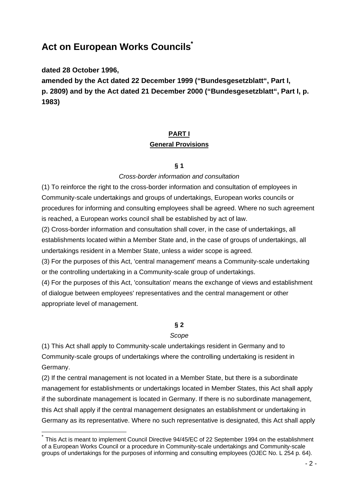# **Act on European Works Councils\***

**dated 28 October 1996,**

 $\overline{a}$ 

**amended by the Act dated 22 December 1999 ("Bundesgesetzblatt", Part I, p. 2809) and by the Act dated 21 December 2000 ("Bundesgesetzblatt", Part I, p. 1983)**

# **PART I General Provisions**

## **§ 1**

## *Cross-border information and consultation*

(1) To reinforce the right to the cross-border information and consultation of employees in Community-scale undertakings and groups of undertakings, European works councils or procedures for informing and consulting employees shall be agreed. Where no such agreement is reached, a European works council shall be established by act of law.

(2) Cross-border information and consultation shall cover, in the case of undertakings, all establishments located within a Member State and, in the case of groups of undertakings, all undertakings resident in a Member State, unless a wider scope is agreed.

(3) For the purposes of this Act, 'central management' means a Community-scale undertaking or the controlling undertaking in a Community-scale group of undertakings.

(4) For the purposes of this Act, 'consultation' means the exchange of views and establishment of dialogue between employees' representatives and the central management or other appropriate level of management.

## **§ 2**

#### *Scope*

(1) This Act shall apply to Community-scale undertakings resident in Germany and to Community-scale groups of undertakings where the controlling undertaking is resident in Germany.

(2) If the central management is not located in a Member State, but there is a subordinate management for establishments or undertakings located in Member States, this Act shall apply if the subordinate management is located in Germany. If there is no subordinate management, this Act shall apply if the central management designates an establishment or undertaking in Germany as its representative. Where no such representative is designated, this Act shall apply

<sup>\*</sup> This Act is meant to implement Council Directive 94/45/EC of 22 September 1994 on the establishment of a European Works Council or a procedure in Community-scale undertakings and Community-scale groups of undertakings for the purposes of informing and consulting employees (OJEC No. L 254 p. 64).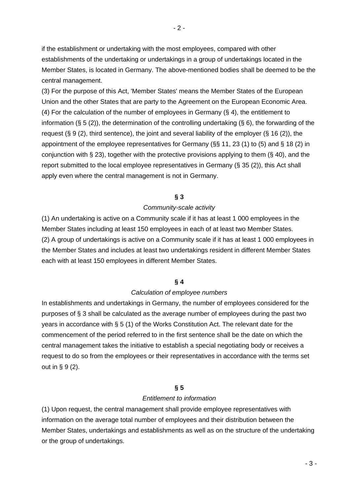if the establishment or undertaking with the most employees, compared with other establishments of the undertaking or undertakings in a group of undertakings located in the Member States, is located in Germany. The above-mentioned bodies shall be deemed to be the central management.

(3) For the purpose of this Act, 'Member States' means the Member States of the European Union and the other States that are party to the Agreement on the European Economic Area. (4) For the calculation of the number of employees in Germany (§ 4), the entitlement to information (§ 5 (2)), the determination of the controlling undertaking (§ 6), the forwarding of the request (§ 9 (2), third sentence), the joint and several liability of the employer (§ 16 (2)), the appointment of the employee representatives for Germany (§§ 11, 23 (1) to (5) and § 18 (2) in conjunction with § 23), together with the protective provisions applying to them (§ 40), and the report submitted to the local employee representatives in Germany (§ 35 (2)), this Act shall apply even where the central management is not in Germany.

#### **§ 3**

#### *Community-scale activity*

(1) An undertaking is active on a Community scale if it has at least 1 000 employees in the Member States including at least 150 employees in each of at least two Member States. (2) A group of undertakings is active on a Community scale if it has at least 1 000 employees in the Member States and includes at least two undertakings resident in different Member States each with at least 150 employees in different Member States.

#### **§ 4**

#### *Calculation of employee numbers*

In establishments and undertakings in Germany, the number of employees considered for the purposes of § 3 shall be calculated as the average number of employees during the past two years in accordance with § 5 (1) of the Works Constitution Act. The relevant date for the commencement of the period referred to in the first sentence shall be the date on which the central management takes the initiative to establish a special negotiating body or receives a request to do so from the employees or their representatives in accordance with the terms set out in  $\S 9(2)$ .

#### **§ 5**

#### *Entitlement to information*

(1) Upon request, the central management shall provide employee representatives with information on the average total number of employees and their distribution between the Member States, undertakings and establishments as well as on the structure of the undertaking or the group of undertakings.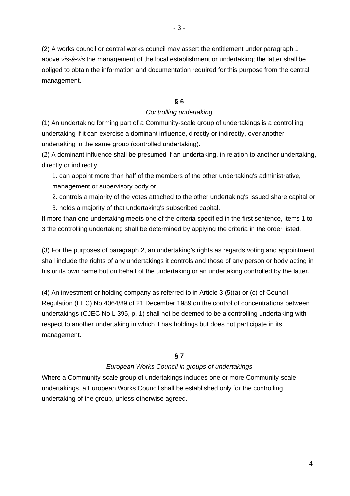(2) A works council or central works council may assert the entitlement under paragraph 1 above *vis-à-vis* the management of the local establishment or undertaking; the latter shall be obliged to obtain the information and documentation required for this purpose from the central management.

## **§ 6**

## *Controlling undertaking*

(1) An undertaking forming part of a Community-scale group of undertakings is a controlling undertaking if it can exercise a dominant influence, directly or indirectly, over another undertaking in the same group (controlled undertaking).

(2) A dominant influence shall be presumed if an undertaking, in relation to another undertaking, directly or indirectly

1. can appoint more than half of the members of the other undertaking's administrative, management or supervisory body or

2. controls a majority of the votes attached to the other undertaking's issued share capital or

3. holds a majority of that undertaking's subscribed capital.

If more than one undertaking meets one of the criteria specified in the first sentence, items 1 to 3 the controlling undertaking shall be determined by applying the criteria in the order listed.

(3) For the purposes of paragraph 2, an undertaking's rights as regards voting and appointment shall include the rights of any undertakings it controls and those of any person or body acting in his or its own name but on behalf of the undertaking or an undertaking controlled by the latter.

(4) An investment or holding company as referred to in Article 3 (5)(a) or (c) of Council Regulation (EEC) No 4064/89 of 21 December 1989 on the control of concentrations between undertakings (OJEC No L 395, p. 1) shall not be deemed to be a controlling undertaking with respect to another undertaking in which it has holdings but does not participate in its management.

## **§ 7**

## *European Works Council in groups of undertakings*

Where a Community-scale group of undertakings includes one or more Community-scale undertakings, a European Works Council shall be established only for the controlling undertaking of the group, unless otherwise agreed.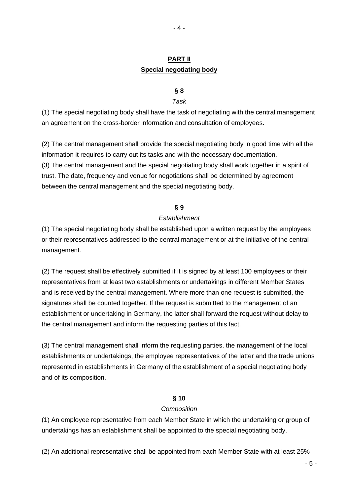## **PART II Special negotiating body**

### **§ 8**

#### *Task*

(1) The special negotiating body shall have the task of negotiating with the central management an agreement on the cross-border information and consultation of employees.

(2) The central management shall provide the special negotiating body in good time with all the information it requires to carry out its tasks and with the necessary documentation. (3) The central management and the special negotiating body shall work together in a spirit of trust. The date, frequency and venue for negotiations shall be determined by agreement between the central management and the special negotiating body.

#### **§ 9**

#### *Establishment*

(1) The special negotiating body shall be established upon a written request by the employees or their representatives addressed to the central management or at the initiative of the central management.

(2) The request shall be effectively submitted if it is signed by at least 100 employees or their representatives from at least two establishments or undertakings in different Member States and is received by the central management. Where more than one request is submitted, the signatures shall be counted together. If the request is submitted to the management of an establishment or undertaking in Germany, the latter shall forward the request without delay to the central management and inform the requesting parties of this fact.

(3) The central management shall inform the requesting parties, the management of the local establishments or undertakings, the employee representatives of the latter and the trade unions represented in establishments in Germany of the establishment of a special negotiating body and of its composition.

#### **§ 10**

#### *Composition*

(1) An employee representative from each Member State in which the undertaking or group of undertakings has an establishment shall be appointed to the special negotiating body.

(2) An additional representative shall be appointed from each Member State with at least 25%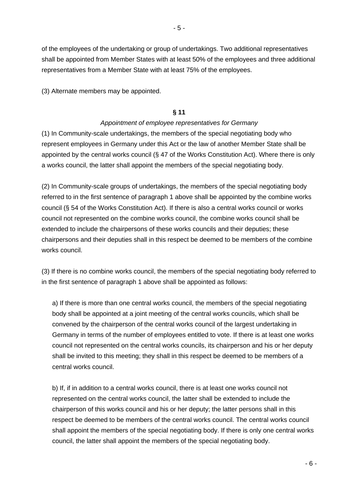of the employees of the undertaking or group of undertakings. Two additional representatives shall be appointed from Member States with at least 50% of the employees and three additional representatives from a Member State with at least 75% of the employees.

(3) Alternate members may be appointed.

### **§ 11**

## *Appointment of employee representatives for Germany*

(1) In Community-scale undertakings, the members of the special negotiating body who represent employees in Germany under this Act or the law of another Member State shall be appointed by the central works council (§ 47 of the Works Constitution Act). Where there is only a works council, the latter shall appoint the members of the special negotiating body.

(2) In Community-scale groups of undertakings, the members of the special negotiating body referred to in the first sentence of paragraph 1 above shall be appointed by the combine works council (§ 54 of the Works Constitution Act). If there is also a central works council or works council not represented on the combine works council, the combine works council shall be extended to include the chairpersons of these works councils and their deputies; these chairpersons and their deputies shall in this respect be deemed to be members of the combine works council.

(3) If there is no combine works council, the members of the special negotiating body referred to in the first sentence of paragraph 1 above shall be appointed as follows:

a) If there is more than one central works council, the members of the special negotiating body shall be appointed at a joint meeting of the central works councils, which shall be convened by the chairperson of the central works council of the largest undertaking in Germany in terms of the number of employees entitled to vote. If there is at least one works council not represented on the central works councils, its chairperson and his or her deputy shall be invited to this meeting; they shall in this respect be deemed to be members of a central works council.

b) If, if in addition to a central works council, there is at least one works council not represented on the central works council, the latter shall be extended to include the chairperson of this works council and his or her deputy; the latter persons shall in this respect be deemed to be members of the central works council. The central works council shall appoint the members of the special negotiating body. If there is only one central works council, the latter shall appoint the members of the special negotiating body.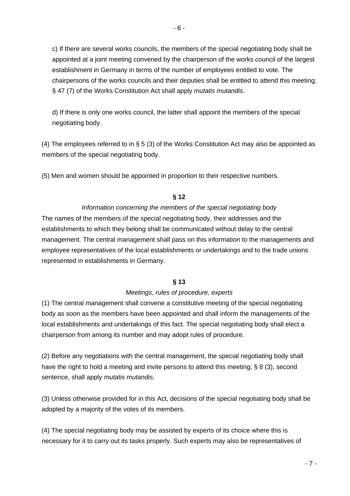c) If there are several works councils, the members of the special negotiating body shall be appointed at a joint meeting convened by the chairperson of the works council of the largest establishment in Germany in terms of the number of employees entitled to vote. The chairpersons of the works councils and their deputies shall be entitled to attend this meeting; § 47 (7) of the Works Constitution Act shall apply *mutatis mutandis*.

d) If there is only one works council, the latter shall appoint the members of the special negotiating body.

(4) The employees referred to in § 5 (3) of the Works Constitution Act may also be appointed as members of the special negotiating body.

(5) Men and women should be appointed in proportion to their respective numbers.

## **§ 12**

## *Information concerning the members of the special negotiating body*

The names of the members of the special negotiating body, their addresses and the establishments to which they belong shall be communicated without delay to the central management. The central management shall pass on this information to the managements and employee representatives of the local establishments or undertakings and to the trade unions represented in establishments in Germany.

## **§ 13**

#### *Meetings, rules of procedure, experts*

(1) The central management shall convene a constitutive meeting of the special negotiating body as soon as the members have been appointed and shall inform the managements of the local establishments and undertakings of this fact. The special negotiating body shall elect a chairperson from among its number and may adopt rules of procedure.

(2) Before any negotiations with the central management, the special negotiating body shall have the right to hold a meeting and invite persons to attend this meeting; § 8 (3), second sentence, shall apply *mutatis mutandis*.

(3) Unless otherwise provided for in this Act, decisions of the special negotiating body shall be adopted by a majority of the votes of its members.

(4) The special negotiating body may be assisted by experts of its choice where this is necessary for it to carry out its tasks properly. Such experts may also be representatives of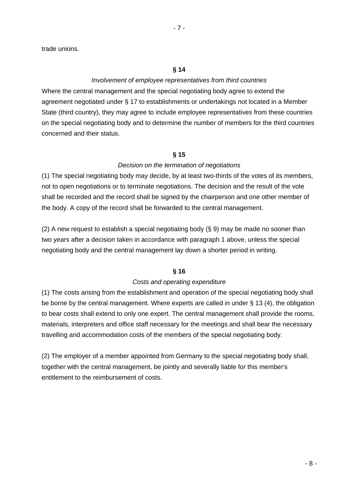trade unions.

#### **§ 14**

## *Involvement of employee representatives from third countries*

Where the central management and the special negotiating body agree to extend the agreement negotiated under § 17 to establishments or undertakings not located in a Member State (third country), they may agree to include employee representatives from these countries on the special negotiating body and to determine the number of members for the third countries concerned and their status.

## **§ 15**

### *Decision on the termination of negotiations*

(1) The special negotiating body may decide, by at least two-thirds of the votes of its members, not to open negotiations or to terminate negotiations. The decision and the result of the vote shall be recorded and the record shall be signed by the chairperson and one other member of the body. A copy of the record shall be forwarded to the central management.

(2) A new request to establish a special negotiating body (§ 9) may be made no sooner than two years after a decision taken in accordance with paragraph 1 above, unless the special negotiating body and the central management lay down a shorter period in writing.

## **§ 16**

#### *Costs and operating expenditure*

(1) The costs arising from the establishment and operation of the special negotiating body shall be borne by the central management. Where experts are called in under § 13 (4), the obligation to bear costs shall extend to only one expert. The central management shall provide the rooms, materials, interpreters and office staff necessary for the meetings and shall bear the necessary travelling and accommodation costs of the members of the special negotiating body.

(2) The employer of a member appointed from Germany to the special negotiating body shall, together with the central management, be jointly and severally liable for this member's entitlement to the reimbursement of costs.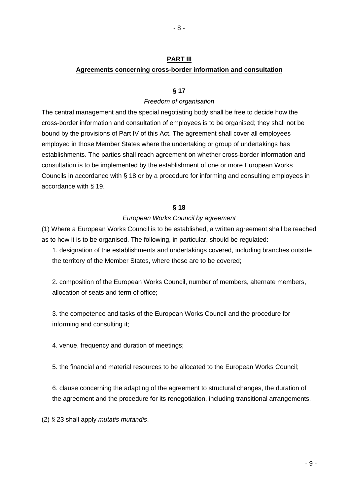## **PART III Agreements concerning cross-border information and consultation**

### **§ 17**

#### *Freedom of organisation*

The central management and the special negotiating body shall be free to decide how the cross-border information and consultation of employees is to be organised; they shall not be bound by the provisions of Part IV of this Act. The agreement shall cover all employees employed in those Member States where the undertaking or group of undertakings has establishments. The parties shall reach agreement on whether cross-border information and consultation is to be implemented by the establishment of one or more European Works Councils in accordance with § 18 or by a procedure for informing and consulting employees in accordance with § 19.

#### **§ 18**

#### *European Works Council by agreement*

(1) Where a European Works Council is to be established, a written agreement shall be reached as to how it is to be organised. The following, in particular, should be regulated:

1. designation of the establishments and undertakings covered, including branches outside the territory of the Member States, where these are to be covered;

2. composition of the European Works Council, number of members, alternate members, allocation of seats and term of office;

3. the competence and tasks of the European Works Council and the procedure for informing and consulting it;

4. venue, frequency and duration of meetings;

5. the financial and material resources to be allocated to the European Works Council;

6. clause concerning the adapting of the agreement to structural changes, the duration of the agreement and the procedure for its renegotiation, including transitional arrangements.

(2) § 23 shall apply *mutatis mutandis*.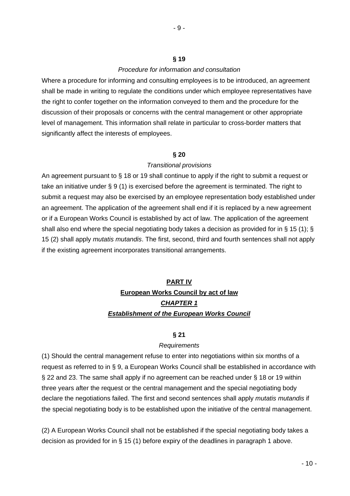#### **§ 19**

### *Procedure for information and consultation*

Where a procedure for informing and consulting employees is to be introduced, an agreement shall be made in writing to regulate the conditions under which employee representatives have the right to confer together on the information conveyed to them and the procedure for the discussion of their proposals or concerns with the central management or other appropriate level of management. This information shall relate in particular to cross-border matters that significantly affect the interests of employees.

### **§ 20**

### *Transitional provisions*

An agreement pursuant to § 18 or 19 shall continue to apply if the right to submit a request or take an initiative under § 9 (1) is exercised before the agreement is terminated. The right to submit a request may also be exercised by an employee representation body established under an agreement. The application of the agreement shall end if it is replaced by a new agreement or if a European Works Council is established by act of law. The application of the agreement shall also end where the special negotiating body takes a decision as provided for in § 15 (1); § 15 (2) shall apply *mutatis mutandis*. The first, second, third and fourth sentences shall not apply if the existing agreement incorporates transitional arrangements.

# **PART IV European Works Council by act of law** *CHAPTER 1 Establishment of the European Works Council*

#### **§ 21**

#### *Requirements*

(1) Should the central management refuse to enter into negotiations within six months of a request as referred to in § 9, a European Works Council shall be established in accordance with § 22 and 23. The same shall apply if no agreement can be reached under § 18 or 19 within three years after the request or the central management and the special negotiating body declare the negotiations failed. The first and second sentences shall apply *mutatis mutandis* if the special negotiating body is to be established upon the initiative of the central management.

(2) A European Works Council shall not be established if the special negotiating body takes a decision as provided for in § 15 (1) before expiry of the deadlines in paragraph 1 above.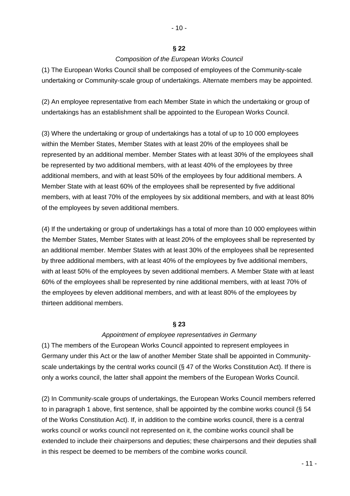### **§ 22**

## *Composition of the European Works Council*

(1) The European Works Council shall be composed of employees of the Community-scale undertaking or Community-scale group of undertakings. Alternate members may be appointed.

(2) An employee representative from each Member State in which the undertaking or group of undertakings has an establishment shall be appointed to the European Works Council.

(3) Where the undertaking or group of undertakings has a total of up to 10 000 employees within the Member States, Member States with at least 20% of the employees shall be represented by an additional member. Member States with at least 30% of the employees shall be represented by two additional members, with at least 40% of the employees by three additional members, and with at least 50% of the employees by four additional members. A Member State with at least 60% of the employees shall be represented by five additional members, with at least 70% of the employees by six additional members, and with at least 80% of the employees by seven additional members.

(4) If the undertaking or group of undertakings has a total of more than 10 000 employees within the Member States, Member States with at least 20% of the employees shall be represented by an additional member. Member States with at least 30% of the employees shall be represented by three additional members, with at least 40% of the employees by five additional members, with at least 50% of the employees by seven additional members. A Member State with at least 60% of the employees shall be represented by nine additional members, with at least 70% of the employees by eleven additional members, and with at least 80% of the employees by thirteen additional members.

## **§ 23**

## *Appointment of employee representatives in Germany*

(1) The members of the European Works Council appointed to represent employees in Germany under this Act or the law of another Member State shall be appointed in Communityscale undertakings by the central works council (§ 47 of the Works Constitution Act). If there is only a works council, the latter shall appoint the members of the European Works Council.

(2) In Community-scale groups of undertakings, the European Works Council members referred to in paragraph 1 above, first sentence, shall be appointed by the combine works council (§ 54 of the Works Constitution Act). If, in addition to the combine works council, there is a central works council or works council not represented on it, the combine works council shall be extended to include their chairpersons and deputies; these chairpersons and their deputies shall in this respect be deemed to be members of the combine works council.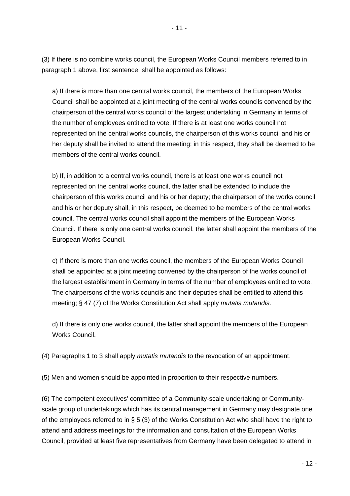(3) If there is no combine works council, the European Works Council members referred to in paragraph 1 above, first sentence, shall be appointed as follows:

a) If there is more than one central works council, the members of the European Works Council shall be appointed at a joint meeting of the central works councils convened by the chairperson of the central works council of the largest undertaking in Germany in terms of the number of employees entitled to vote. If there is at least one works council not represented on the central works councils, the chairperson of this works council and his or her deputy shall be invited to attend the meeting; in this respect, they shall be deemed to be members of the central works council.

b) If, in addition to a central works council, there is at least one works council not represented on the central works council, the latter shall be extended to include the chairperson of this works council and his or her deputy; the chairperson of the works council and his or her deputy shall, in this respect, be deemed to be members of the central works council. The central works council shall appoint the members of the European Works Council. If there is only one central works council, the latter shall appoint the members of the European Works Council.

c) If there is more than one works council, the members of the European Works Council shall be appointed at a joint meeting convened by the chairperson of the works council of the largest establishment in Germany in terms of the number of employees entitled to vote. The chairpersons of the works councils and their deputies shall be entitled to attend this meeting; § 47 (7) of the Works Constitution Act shall apply *mutatis mutandis*.

d) If there is only one works council, the latter shall appoint the members of the European Works Council.

(4) Paragraphs 1 to 3 shall apply *mutatis mutandis* to the revocation of an appointment.

(5) Men and women should be appointed in proportion to their respective numbers.

(6) The competent executives' committee of a Community-scale undertaking or Communityscale group of undertakings which has its central management in Germany may designate one of the employees referred to in § 5 (3) of the Works Constitution Act who shall have the right to attend and address meetings for the information and consultation of the European Works Council, provided at least five representatives from Germany have been delegated to attend in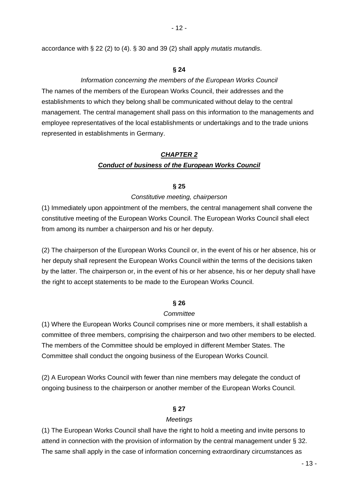accordance with § 22 (2) to (4). § 30 and 39 (2) shall apply *mutatis mutandis*.

#### **§ 24**

### *Information concerning the members of the European Works Council*

The names of the members of the European Works Council, their addresses and the establishments to which they belong shall be communicated without delay to the central management. The central management shall pass on this information to the managements and employee representatives of the local establishments or undertakings and to the trade unions represented in establishments in Germany.

## *CHAPTER 2 Conduct of business of the European Works Council*

#### **§ 25**

#### *Constitutive meeting, chairperson*

(1) Immediately upon appointment of the members, the central management shall convene the constitutive meeting of the European Works Council. The European Works Council shall elect from among its number a chairperson and his or her deputy.

(2) The chairperson of the European Works Council or, in the event of his or her absence, his or her deputy shall represent the European Works Council within the terms of the decisions taken by the latter. The chairperson or, in the event of his or her absence, his or her deputy shall have the right to accept statements to be made to the European Works Council.

#### **§ 26**

#### *Committee*

(1) Where the European Works Council comprises nine or more members, it shall establish a committee of three members, comprising the chairperson and two other members to be elected. The members of the Committee should be employed in different Member States. The Committee shall conduct the ongoing business of the European Works Council.

(2) A European Works Council with fewer than nine members may delegate the conduct of ongoing business to the chairperson or another member of the European Works Council.

### **§ 27**

#### *Meetings*

(1) The European Works Council shall have the right to hold a meeting and invite persons to attend in connection with the provision of information by the central management under § 32. The same shall apply in the case of information concerning extraordinary circumstances as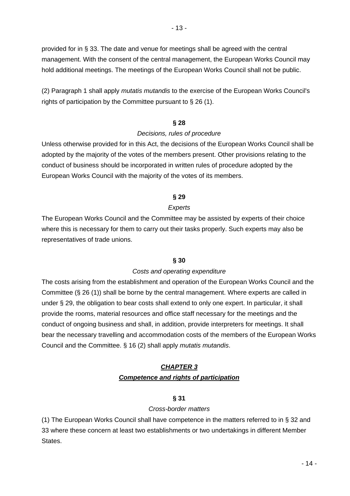provided for in § 33. The date and venue for meetings shall be agreed with the central management. With the consent of the central management, the European Works Council may hold additional meetings. The meetings of the European Works Council shall not be public.

(2) Paragraph 1 shall apply *mutatis mutandis* to the exercise of the European Works Council's rights of participation by the Committee pursuant to § 26 (1).

## **§ 28**

## *Decisions, rules of procedure*

Unless otherwise provided for in this Act, the decisions of the European Works Council shall be adopted by the majority of the votes of the members present. Other provisions relating to the conduct of business should be incorporated in written rules of procedure adopted by the European Works Council with the majority of the votes of its members.

## **§ 29**

## *Experts*

The European Works Council and the Committee may be assisted by experts of their choice where this is necessary for them to carry out their tasks properly. Such experts may also be representatives of trade unions.

## **§ 30**

## *Costs and operating expenditure*

The costs arising from the establishment and operation of the European Works Council and the Committee (§ 26 (1)) shall be borne by the central management. Where experts are called in under § 29, the obligation to bear costs shall extend to only one expert. In particular, it shall provide the rooms, material resources and office staff necessary for the meetings and the conduct of ongoing business and shall, in addition, provide interpreters for meetings. It shall bear the necessary travelling and accommodation costs of the members of the European Works Council and the Committee. § 16 (2) shall apply *mutatis mutandis*.

## *CHAPTER 3 Competence and rights of participation*

## **§ 31**

## *Cross-border matters*

(1) The European Works Council shall have competence in the matters referred to in § 32 and 33 where these concern at least two establishments or two undertakings in different Member States.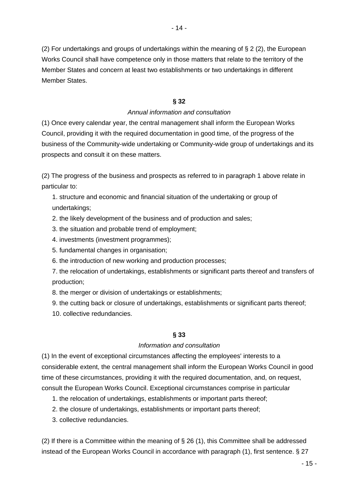(2) For undertakings and groups of undertakings within the meaning of  $\S 2$  (2), the European Works Council shall have competence only in those matters that relate to the territory of the Member States and concern at least two establishments or two undertakings in different Member States.

## **§ 32**

## *Annual information and consultation*

(1) Once every calendar year, the central management shall inform the European Works Council, providing it with the required documentation in good time, of the progress of the business of the Community-wide undertaking or Community-wide group of undertakings and its prospects and consult it on these matters.

(2) The progress of the business and prospects as referred to in paragraph 1 above relate in particular to:

1. structure and economic and financial situation of the undertaking or group of undertakings;

2. the likely development of the business and of production and sales;

3. the situation and probable trend of employment;

4. investments (investment programmes);

5. fundamental changes in organisation;

6. the introduction of new working and production processes;

7. the relocation of undertakings, establishments or significant parts thereof and transfers of production;

8. the merger or division of undertakings or establishments;

9. the cutting back or closure of undertakings, establishments or significant parts thereof;

10. collective redundancies.

## **§ 33**

## *Information and consultation*

(1) In the event of exceptional circumstances affecting the employees' interests to a considerable extent, the central management shall inform the European Works Council in good time of these circumstances, providing it with the required documentation, and, on request, consult the European Works Council. Exceptional circumstances comprise in particular

- 1. the relocation of undertakings, establishments or important parts thereof;
- 2. the closure of undertakings, establishments or important parts thereof;
- 3. collective redundancies.

(2) If there is a Committee within the meaning of  $\S 26$  (1), this Committee shall be addressed instead of the European Works Council in accordance with paragraph (1), first sentence. § 27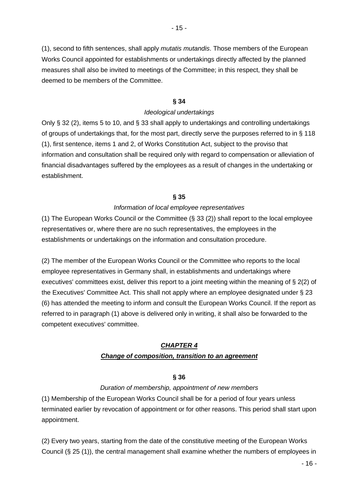(1), second to fifth sentences, shall apply *mutatis mutandis*. Those members of the European Works Council appointed for establishments or undertakings directly affected by the planned measures shall also be invited to meetings of the Committee; in this respect, they shall be deemed to be members of the Committee.

## **§ 34**

## *Ideological undertakings*

Only § 32 (2), items 5 to 10, and § 33 shall apply to undertakings and controlling undertakings of groups of undertakings that, for the most part, directly serve the purposes referred to in § 118 (1), first sentence, items 1 and 2, of Works Constitution Act, subject to the proviso that information and consultation shall be required only with regard to compensation or alleviation of financial disadvantages suffered by the employees as a result of changes in the undertaking or establishment.

## **§ 35**

## *Information of local employee representatives*

(1) The European Works Council or the Committee (§ 33 (2)) shall report to the local employee representatives or, where there are no such representatives, the employees in the establishments or undertakings on the information and consultation procedure.

(2) The member of the European Works Council or the Committee who reports to the local employee representatives in Germany shall, in establishments and undertakings where executives' committees exist, deliver this report to a joint meeting within the meaning of § 2(2) of the Executives' Committee Act. This shall not apply where an employee designated under § 23 (6) has attended the meeting to inform and consult the European Works Council. If the report as referred to in paragraph (1) above is delivered only in writing, it shall also be forwarded to the competent executives' committee.

## *CHAPTER 4*

## *Change of composition, transition to an agreement*

## **§ 36**

## *Duration of membership, appointment of new members*

(1) Membership of the European Works Council shall be for a period of four years unless terminated earlier by revocation of appointment or for other reasons. This period shall start upon appointment.

(2) Every two years, starting from the date of the constitutive meeting of the European Works Council (§ 25 (1)), the central management shall examine whether the numbers of employees in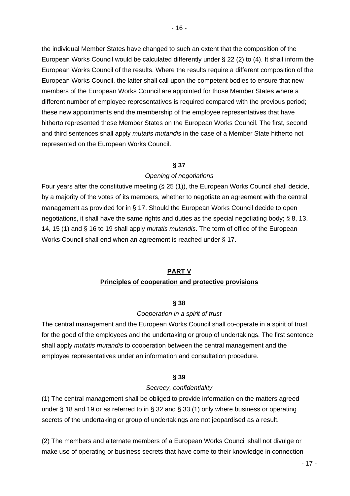the individual Member States have changed to such an extent that the composition of the European Works Council would be calculated differently under § 22 (2) to (4). It shall inform the European Works Council of the results. Where the results require a different composition of the European Works Council, the latter shall call upon the competent bodies to ensure that new members of the European Works Council are appointed for those Member States where a different number of employee representatives is required compared with the previous period; these new appointments end the membership of the employee representatives that have hitherto represented these Member States on the European Works Council. The first, second and third sentences shall apply *mutatis mutandis* in the case of a Member State hitherto not represented on the European Works Council.

## **§ 37**

## *Opening of negotiations*

Four years after the constitutive meeting (§ 25 (1)), the European Works Council shall decide, by a majority of the votes of its members, whether to negotiate an agreement with the central management as provided for in § 17. Should the European Works Council decide to open negotiations, it shall have the same rights and duties as the special negotiating body; § 8, 13, 14, 15 (1) and § 16 to 19 shall apply *mutatis mutandis*. The term of office of the European Works Council shall end when an agreement is reached under § 17.

## **PART V**

## **Principles of cooperation and protective provisions**

## **§ 38**

## *Cooperation in a spirit of trust*

The central management and the European Works Council shall co-operate in a spirit of trust for the good of the employees and the undertaking or group of undertakings. The first sentence shall apply *mutatis mutandis* to cooperation between the central management and the employee representatives under an information and consultation procedure.

## **§ 39**

## *Secrecy, confidentiality*

(1) The central management shall be obliged to provide information on the matters agreed under § 18 and 19 or as referred to in § 32 and § 33 (1) only where business or operating secrets of the undertaking or group of undertakings are not jeopardised as a result.

(2) The members and alternate members of a European Works Council shall not divulge or make use of operating or business secrets that have come to their knowledge in connection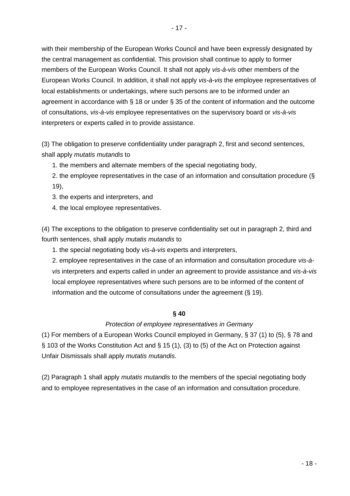with their membership of the European Works Council and have been expressly designated by the central management as confidential. This provision shall continue to apply to former members of the European Works Council. It shall not apply *vis-à-vis* other members of the European Works Council. In addition, it shall not apply *vis-à-vis* the employee representatives of local establishments or undertakings, where such persons are to be informed under an agreement in accordance with § 18 or under § 35 of the content of information and the outcome of consultations, *vis-à-vis* employee representatives on the supervisory board or *vis-à-vis* interpreters or experts called in to provide assistance.

(3) The obligation to preserve confidentiality under paragraph 2, first and second sentences, shall apply *mutatis mutandis* to

1. the members and alternate members of the special negotiating body,

2. the employee representatives in the case of an information and consultation procedure (§ 19),

3. the experts and interpreters, and

4. the local employee representatives.

(4) The exceptions to the obligation to preserve confidentiality set out in paragraph 2, third and fourth sentences, shall apply *mutatis mutandis* to

1. the special negotiating body *vis-à-vis* experts and interpreters,

2. employee representatives in the case of an information and consultation procedure *vis-àvis* interpreters and experts called in under an agreement to provide assistance and *vis-à-vis* local employee representatives where such persons are to be informed of the content of information and the outcome of consultations under the agreement (§ 19).

## **§ 40**

## *Protection of employee representatives in Germany*

(1) For members of a European Works Council employed in Germany, § 37 (1) to (5), § 78 and § 103 of the Works Constitution Act and § 15 (1), (3) to (5) of the Act on Protection against Unfair Dismissals shall apply *mutatis mutandis*.

(2) Paragraph 1 shall apply *mutatis mutandis* to the members of the special negotiating body and to employee representatives in the case of an information and consultation procedure.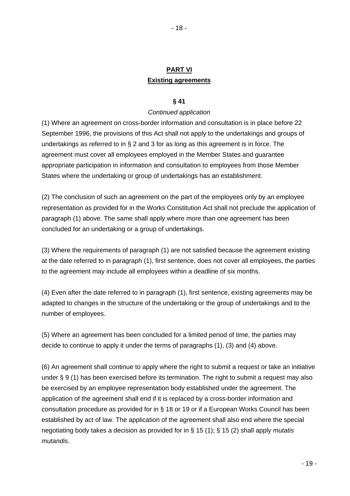# **PART VI Existing agreements**

### **§ 41**

### *Continued application*

(1) Where an agreement on cross-border information and consultation is in place before 22 September 1996, the provisions of this Act shall not apply to the undertakings and groups of undertakings as referred to in § 2 and 3 for as long as this agreement is in force. The agreement must cover all employees employed in the Member States and guarantee appropriate participation in information and consultation to employees from those Member States where the undertaking or group of undertakings has an establishment.

(2) The conclusion of such an agreement on the part of the employees only by an employee representation as provided for in the Works Constitution Act shall not preclude the application of paragraph (1) above. The same shall apply where more than one agreement has been concluded for an undertaking or a group of undertakings.

(3) Where the requirements of paragraph (1) are not satisfied because the agreement existing at the date referred to in paragraph (1), first sentence, does not cover all employees, the parties to the agreement may include all employees within a deadline of six months.

(4) Even after the date referred to in paragraph (1), first sentence, existing agreements may be adapted to changes in the structure of the undertaking or the group of undertakings and to the number of employees.

(5) Where an agreement has been concluded for a limited period of time, the parties may decide to continue to apply it under the terms of paragraphs (1), (3) and (4) above.

(6) An agreement shall continue to apply where the right to submit a request or take an initiative under § 9 (1) has been exercised before its termination. The right to submit a request may also be exercised by an employee representation body established under the agreement. The application of the agreement shall end if it is replaced by a cross-border information and consultation procedure as provided for in § 18 or 19 or if a European Works Council has been established by act of law. The application of the agreement shall also end where the special negotiating body takes a decision as provided for in § 15 (1); § 15 (2) shall apply *mutatis mutandis*.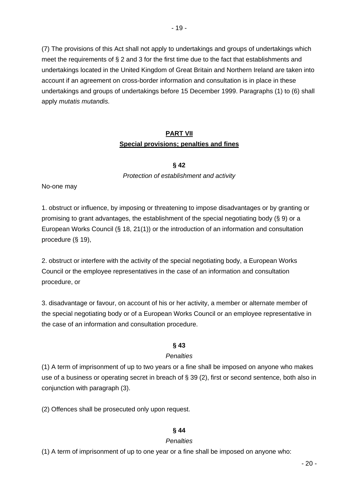(7) The provisions of this Act shall not apply to undertakings and groups of undertakings which meet the requirements of § 2 and 3 for the first time due to the fact that establishments and undertakings located in the United Kingdom of Great Britain and Northern Ireland are taken into account if an agreement on cross-border information and consultation is in place in these undertakings and groups of undertakings before 15 December 1999. Paragraphs (1) to (6) shall apply *mutatis mutandis*.

# **PART VII Special provisions; penalties and fines**

**§ 42**

*Protection of establishment and activity*

No-one may

1. obstruct or influence, by imposing or threatening to impose disadvantages or by granting or promising to grant advantages, the establishment of the special negotiating body (§ 9) or a European Works Council (§ 18, 21(1)) or the introduction of an information and consultation procedure (§ 19),

2. obstruct or interfere with the activity of the special negotiating body, a European Works Council or the employee representatives in the case of an information and consultation procedure, or

3. disadvantage or favour, on account of his or her activity, a member or alternate member of the special negotiating body or of a European Works Council or an employee representative in the case of an information and consultation procedure.

## **§ 43**

## *Penalties*

(1) A term of imprisonment of up to two years or a fine shall be imposed on anyone who makes use of a business or operating secret in breach of § 39 (2), first or second sentence, both also in conjunction with paragraph (3).

(2) Offences shall be prosecuted only upon request.

## **§ 44**

## *Penalties*

(1) A term of imprisonment of up to one year or a fine shall be imposed on anyone who: